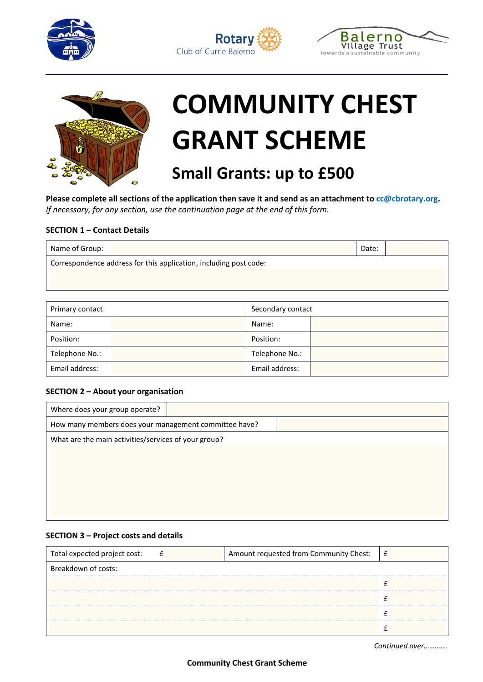







# **COMMUNITY CHEST GRANT SCHEME**

# **Small Grants: up to £500**

**Please complete all sections of the application then save it and send as an attachment to cc@cbrotary.org.** *If necessary, for any section, use the continuation page at the end of this form.*

# **SECTION 1 – Contact Details**

| Name of Group:                                                    |  | Date: |  |
|-------------------------------------------------------------------|--|-------|--|
| Correspondence address for this application, including post code: |  |       |  |
|                                                                   |  |       |  |

| Primary contact |  | Secondary contact |  |
|-----------------|--|-------------------|--|
| Name:           |  | Name:             |  |
| Position:       |  | Position:         |  |
| Telephone No.:  |  | Telephone No.:    |  |
| Email address:  |  | Email address:    |  |

### **SECTION 2 – About your organisation**

| Where does your group operate?                        |  |  |
|-------------------------------------------------------|--|--|
| How many members does your management committee have? |  |  |
| What are the main activities/services of your group?  |  |  |
|                                                       |  |  |
|                                                       |  |  |
|                                                       |  |  |
|                                                       |  |  |
|                                                       |  |  |

### **SECTION 3 – Project costs and details**

| Total expected project cost: | $-\epsilon$ | Amount requested from Community Chest: | Ι£ |  |
|------------------------------|-------------|----------------------------------------|----|--|
| Breakdown of costs:          |             |                                        |    |  |
|                              |             |                                        |    |  |
|                              |             |                                        |    |  |
|                              |             |                                        |    |  |
|                              |             |                                        |    |  |

*Continued over………….*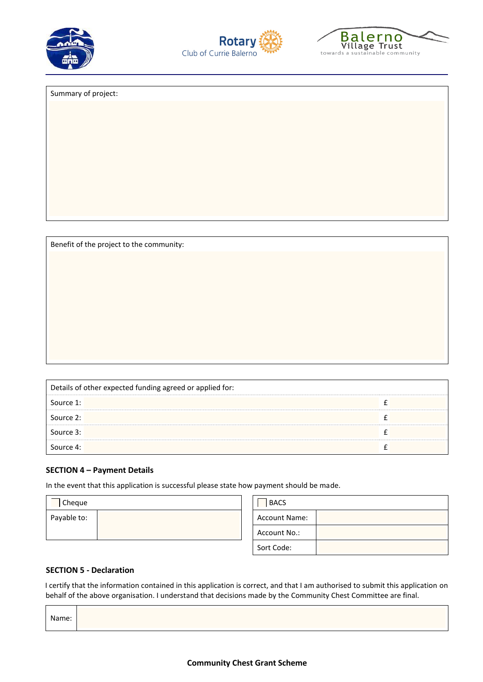





Summary of project:

Benefit of the project to the community:

| Details of other expected funding agreed or applied for: |  |  |  |
|----------------------------------------------------------|--|--|--|
| Source 1:                                                |  |  |  |
| Source 2:                                                |  |  |  |
| Source 3:                                                |  |  |  |
| Source 4:                                                |  |  |  |

### **SECTION 4 – Payment Details**

In the event that this application is successful please state how payment should be made.

| Cheque      |  | <b>BACS</b>          |  |
|-------------|--|----------------------|--|
| Payable to: |  | <b>Account Name:</b> |  |
|             |  | Account No.:         |  |
|             |  | Sort Code:           |  |

### **SECTION 5 - Declaration**

I certify that the information contained in this application is correct, and that I am authorised to submit this application on behalf of the above organisation. I understand that decisions made by the Community Chest Committee are final.

| Name: |  |
|-------|--|
|       |  |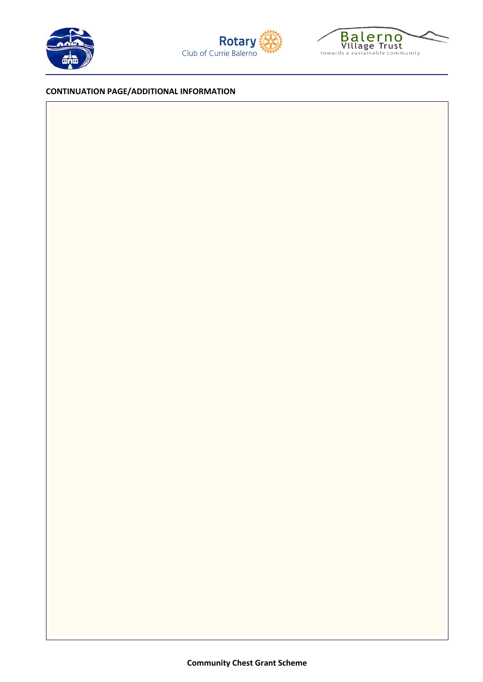





## **CONTINUATION PAGE/ADDITIONAL INFORMATION**